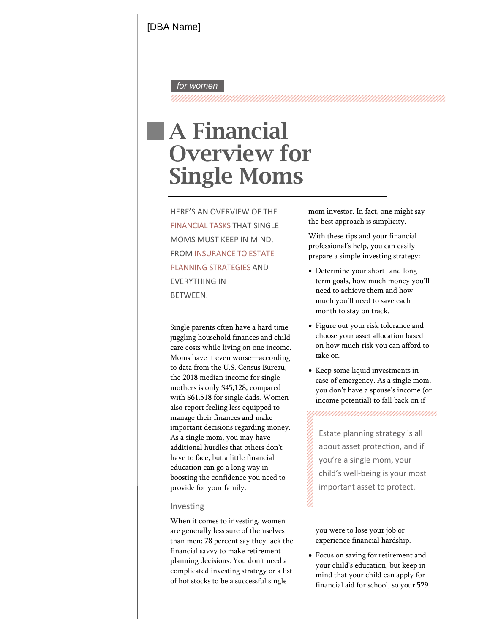## *for women*

### 

# A Financial Overview for Single Moms

 FROM INSURANCE TO ESTATE HERE'S AN OVERVIEW OF THE FINANCIAL TASKS THAT SINGLE MOMS MUST KEEP IN MIND, PLANNING STRATEGIES AND EVERYTHING IN BETWEEN.

Single parents often have a hard time juggling household finances and child care  $\omega$ sts while living on one income. Moms have it even worse according to data from the U.S. Census Bureau, the 201 median income for single mothers is only \$, compared with \$ for single dads. Women also report feeling less equipped to manage their finances and make important decisions regarding money. As a single mom, you may have DGGLWLRQDO KXUGOHV have to face, bua little financial education can go a long way in boosting the confidence you need to provide for your family.

## Investing

SODQQLQJGHFLVLRQV  $\ltimes$ RXGRQ WQXFDWING in Exercise on saving for retirement and<br>SODQQLQJGHFLVLRQV  $\ltimes$ RXGRQ WQXFDWING pin E When it comes to investing, women are generally less sure of themselves than men: 78 percentay they lack the financial savvy to make retirement complicated investing strategy orlist of hot stocks to be a successful single

 mom investor. In fact, one might say the best approach is simplicity.

With these tips and youfinancial preparea simple investing strategy: SURIHV VhelpR COLD Can easily

- WHUP KRZOPXFK PRQH\\RX¶OO need to achieve them and how PXFK \RX¶OO @DDHKG WR VDY xDetermine your slort- and longmonth to stay on track.
- xFigure out your risk tolerance and on how much risk you can afford to choose your asset allocation based take on.
- xKeep some liquid investments in case of emergency. As a single mom, \R\GRQ¶WKDYHLQQF\RSHRHXXVH¶V income potential) to fall back on if

,,,,,,,,,,,,,,,,,,,,,,,,,,,,,,,,,,,,,

Estate planning strategy is all W kabowt asset protecling if  $Q \eta$ you're a single mou $E$ child's well-being is your most important asset to protect.

> you were to lose your job or experience financial hardship.

 mind that your child can apply for  $\mathbf{W}^{\prime}$  and  $\mathbf{W}^{\prime}$  in  $\mathbf{W}$  in  $\mathbf{W}$  in  $\mathbf{W}$  in  $\mathbf{W}$  in  $\mathbf{W}$ financial aid for school, so your 529